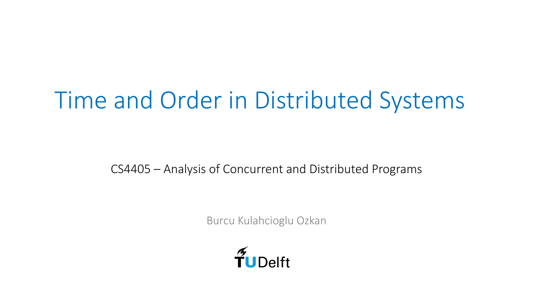# Time and Order in Distributed Systems

CS4405 – Analysis of Concurrent and Distributed Programs

Burcu Kulahcioglu Ozkan

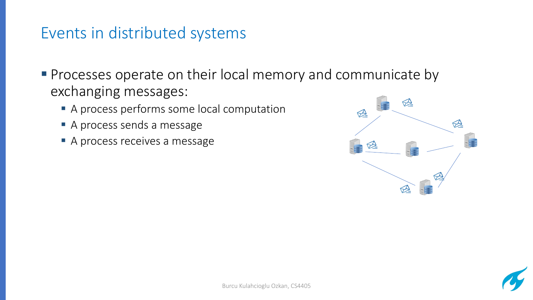## Events in distributed systems

■ Processes operate on their local memory and communicate by exchanging messages:

- A process performs some local computation
- § A process sends a message
- A process receives a message



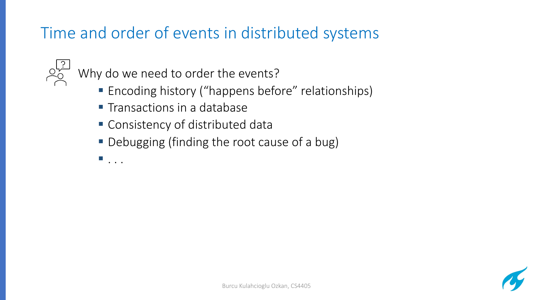# Time and order of events in distributed systems

Why do we need to order the events?

- Encoding history ("happens before" relationships)
- Transactions in a database
- Consistency of distributed data
- Debugging (finding the root cause of a bug)
- $\blacksquare$  . . .

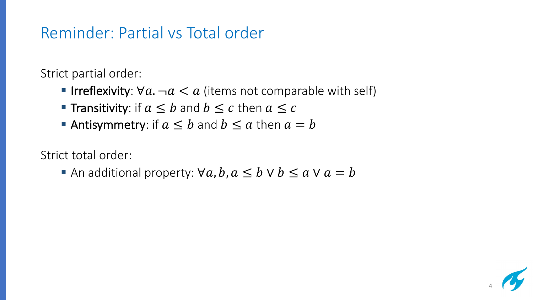## Reminder: Partial vs Total order

Strict partial order:

- **Irreflexivity:**  $\forall a \, -a \leq a$  (items not comparable with self)
- **Transitivity:** if  $a \leq b$  and  $b \leq c$  then  $a \leq c$
- Antisymmetry: if  $a \leq b$  and  $b \leq a$  then  $a = b$

Strict total order:

An additional property:  $\forall a, b, a \leq b \lor b \leq a \lor a = b$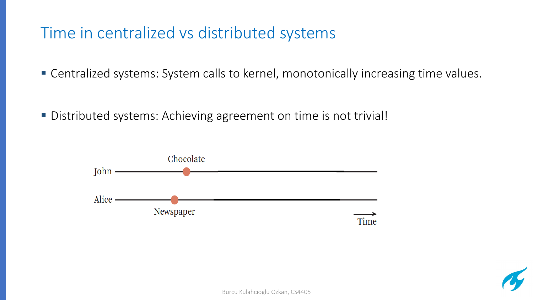## Time in centralized vs distributed systems

- Centralized systems: System calls to kernel, monotonically increasing time values.
- Distributed systems: Achieving agreement on time is not trivial!



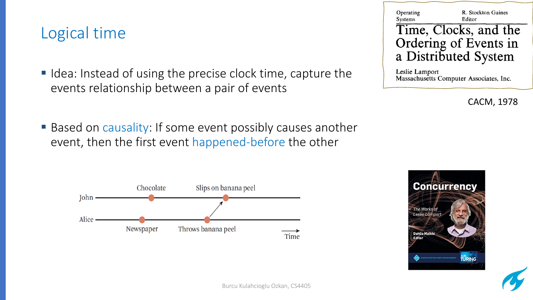## Logical time

- Idea: Instead of using the precise clock time, capture the events relationship between a pair of events
- Based on causality: If some event possibly causes another event, then the first event happened-before the other





Leslie Lamport Massachusetts Computer Associates, Inc.

CACM, 1978



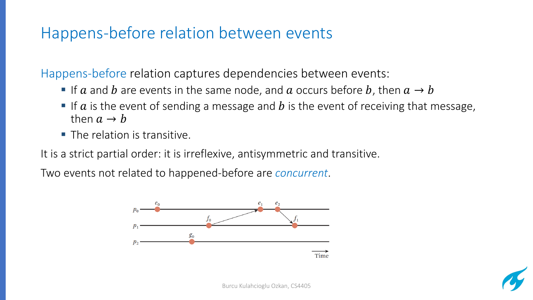## Happens-before relation between events

Happens-before relation captures dependencies between events:

- **•** If  $a$  and  $b$  are events in the same node, and  $a$  occurs before  $b$ , then  $a \rightarrow b$
- **•** If  $\alpha$  is the event of sending a message and  $\dot{b}$  is the event of receiving that message, then  $a \rightarrow b$
- $\blacksquare$  The relation is transitive.

It is a strict partial order: it is irreflexive, antisymmetric and transitive.

Two events not related to happened-before are *concurrent*.



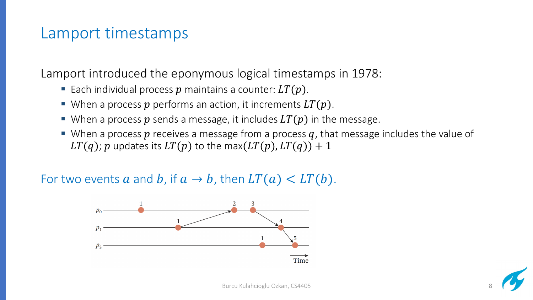#### Lamport timestamps

Lamport introduced the eponymous logical timestamps in 1978:

- Each individual process p maintains a counter:  $LT(p)$ .
- When a process  $p$  performs an action, it increments  $LT(p)$ .
- When a process p sends a message, it includes  $LT(p)$  in the message.
- When a process  $p$  receives a message from a process  $q$ , that message includes the value of  $LT(q)$ ; p updates its  $LT(p)$  to the max( $LT(p)$ ,  $LT(q)$ ) + 1

For two events a and b, if  $a \to b$ , then  $LT(a) < LT(b)$ .



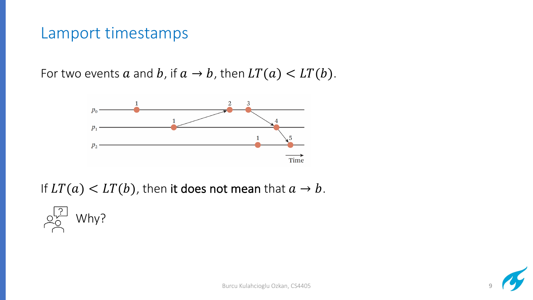#### Lamport timestamps

For two events a and b, if  $a \rightarrow b$ , then  $LT(a) < LT(b)$ .



If  $LT(a) < LT(b)$ , then it does not mean that  $a \rightarrow b$ .

Why?

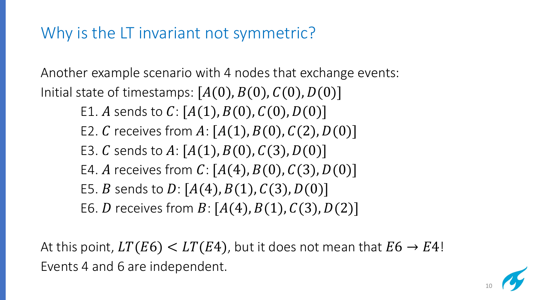## Why is the LT invariant not symmetric?

Another example scenario with 4 nodes that exchange events: Initial state of timestamps:  $[A(0), B(0), C(0), D(0)]$ E1. A sends to  $C: [A(1), B(0), C(0), D(0)]$ E2. C receives from  $A: [A(1), B(0), C(2), D(0)]$ E3. C sends to  $A: [A(1), B(0), C(3), D(0)]$ E4. A receives from  $C: [A(4), B(0), C(3), D(0)]$ E5. *B* sends to *D*:  $[A(4), B(1), C(3), D(0)]$ E6. *D* receives from  $B: [A(4), B(1), C(3), D(2)]$ 

At this point,  $LT(E6) < LT(E4)$ , but it does not mean that  $E6 \rightarrow E4!$ Events 4 and 6 are independent.

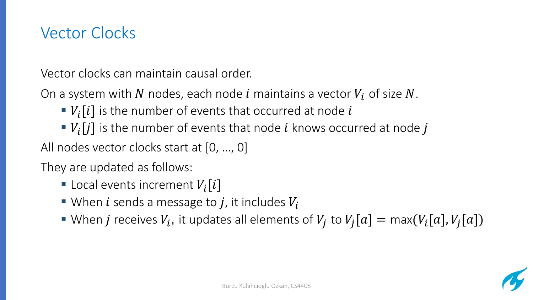## Vector Clocks

Vector clocks can maintain causal order.

On a system with N nodes, each node i maintains a vector  $V_i$  of size N.

- $V_i[i]$  is the number of events that occurred at node i
- $\bullet$   $V_i[j]$  is the number of events that node *i* knows occurred at node *j*

All nodes vector clocks start at [0, …, 0]

They are updated as follows:

- **Local events increment**  $V_i[i]$
- When *i* sends a message to *j*, it includes  $V_i$
- When *j* receives  $V_i$ , it updates all elements of  $V_i$  to  $V_i[a] = \max(V_i[a], V_i[a])$

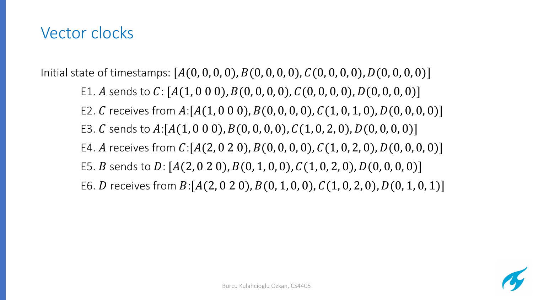## Vector clocks

Initial state of timestamps:  $[A(0, 0, 0, 0), B(0, 0, 0), C(0, 0, 0, 0), D(0, 0, 0, 0)]$ E1. A sends to C:  $[A(1, 0\ 0\ 0), B(0, 0, 0, 0), C(0, 0, 0, 0), D(0, 0, 0, 0)]$ E2. C receives from  $A:[A(1, 0 0 0), B(0, 0, 0, 0), C(1, 0, 1, 0), D(0, 0, 0, 0)]$ E3. C sends to  $A:[A(1, 0 0 0), B(0, 0, 0, 0), C(1, 0, 2, 0), D(0, 0, 0, 0)]$ E4. A receives from  $C:[A(2, 0 2 0), B(0, 0, 0, 0), C(1, 0, 2, 0), D(0, 0, 0, 0)]$ E5. B sends to  $D: [A(2, 0 2 0), B(0, 1, 0, 0), C(1, 0, 2, 0), D(0, 0, 0, 0)]$ E6. D receives from  $B:[A(2, 0 2 0), B(0, 1, 0, 0), C(1, 0, 2, 0), D(0, 1, 0, 1)]$ 

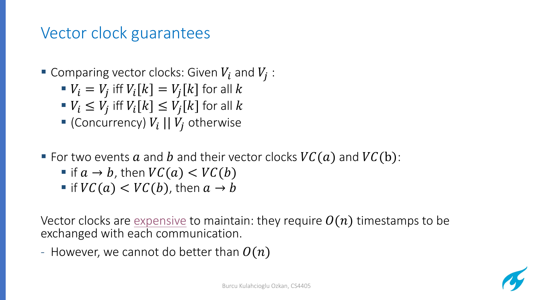## Vector clock guarantees

- Gomparing vec[tor clocks:](http://www.bailis.org/blog/causality-is-expensive-and-what-to-do-about-it/) Given  $V_i$  and  $V_j$ :
	- $V_i = V_j$  iff  $V_i[k] = V_j[k]$  for all k
	- $V_i \leq V_j$  iff  $V_i[k] \leq V_j[k]$  for all k
	- Goncurrency)  $V_i$  ||  $V_j$  otherwise
- For two events  $a$  and  $b$  and their vector clocks  $VC(a)$ 
	- if  $a \to b$ , then  $VC(a) < VC(b)$
	- **•** if  $VC(a) < VC(b)$ , then  $a \rightarrow b$

Vector clocks are expensive to maintain: they require  $O($ exchanged with each communication.

- However, we cannot do better than  $O(n)$